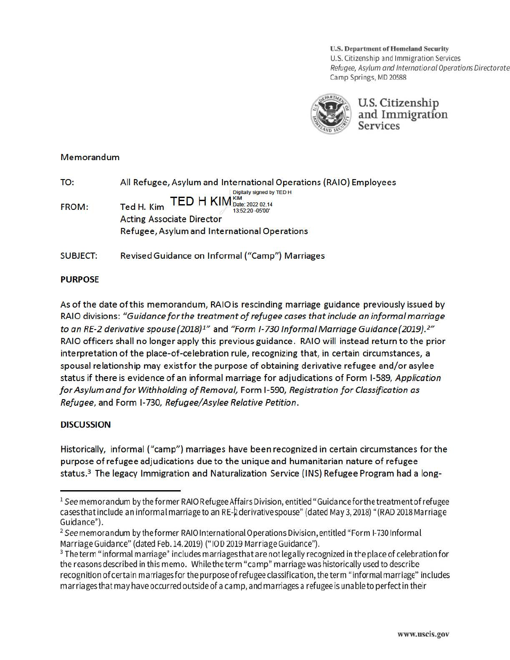**U.S. Department of Homeland Security**  U.S. Citizenship and Immigration Services Refugee, Asylum and International Operations Directorate Camp Springs, MD 20588



<sup>0</sup>U.S. Citizenship *:* ; and Immigration  $S$  ervices

### Memorandum

| TO:             | All Refugee, Asylum and International Operations (RAIO) Employees                                                                     |
|-----------------|---------------------------------------------------------------------------------------------------------------------------------------|
| <b>FROM:</b>    | Digitally signed by TED H.<br><b>TED H KIM</b> Date: 2022 02.14<br>Ted H. Kim<br>13:52:20 -05'00"<br><b>Acting Associate Director</b> |
|                 | Refugee, Asylum and International Operations                                                                                          |
| <b>SUBJECT:</b> | Revised Guidance on Informal ("Camp") Marriages                                                                                       |

## **PURPOSE**

As of the date ofthis memorandum, RAIO is rescinding marriage guidance previously issued by RAIO divisions: "Guidance for the treatment of refugee cases that include an informal marriage *to an RE-2 derivative spouse {2018}1"* and *"Form 1-730 Informal Marriage Guidance (2019}.2 "*  RAIO officers shall no longer apply this previous guidance . RAIO will instead return to the prior interpretation of the place-of-celebration rule, recognizing that, in certain circumstances, a spousal relationship may exist for the purpose of obtaining derivative refugee and/or asylee status if there is evidence of an informal marriage for adjudications of Form 1-589, *Application for Asylum and for Withholding ofRemoval,* Form 1-590, *Registration for Classification as Refugee,* and Form 1-730, *Refugee/ Asylee Relative Petition .* 

# **DISCUSSION**

Historically, informal ("camp") marriages have been recognized in certain circumstances for the purpose ofrefugee adjudications due to the unique and humanitarian nature of refugee status.<sup>3</sup> The legacy Immigration and Naturalization Service (INS) Refugee Program had a long-

 $1$  See memorandum by the former RAIO Refugee Affairs Division, entitled "Guidance for the treatment of refugee cases that include an informal marriage to an RE-2 derivative spouse" (dated May 3, 2018) "(RAD 2018 Marriage Guidance").

<sup>&</sup>lt;sup>2</sup> See memorandum by the former RAIO International Operations Division, entitled "Form I-730 Informal Marriage Guidance" (dated Feb.14.2019) ("10D 2019 Marriage Guidance").

<sup>&</sup>lt;sup>3</sup> The term "informal marriage" includes marriages that are not legally recognized in the place of celebration for the reasons described in this memo. While the term "camp" marriage was historically used to describe recognition ofcertain marriages for the purpose of refugee classification, the term "informal marriage" includes marriages that may have occurred outside of a camp, and marriages a refugee is unable to perfect in their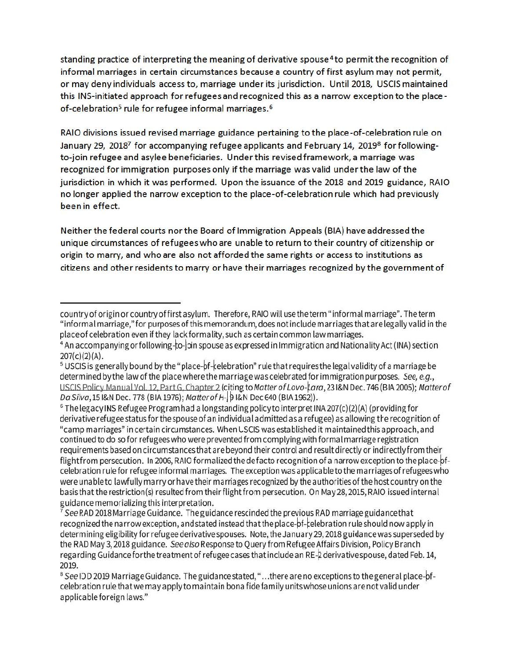standing practice of interpreting the meaning of derivative spouse 4 to permit the recognition of informal marriages in certain circumstances because a country of first asylum may not permit, or may deny individuals access to, marriage under its jurisdiction. Until 2018, USCIS maintained this INS-initiated approach for refugees and recognized this as a narrow exception to the placeof-celebration<sup>5</sup> rule for refugee informal marriages.<sup>6</sup>

RAIO divisions issued revised marriage guidance pertaining to the place-of-celebration rule on January 29, 2018<sup>7</sup> for accompanying refugee applicants and February 14, 2019<sup>8</sup> for followingto-join refugee and asylee beneficiaries. Under this revised framework, a marriage was recognized for immigration purposes only if the marriage was valid under the law of the jurisdiction in which it was performed. Upon the issuance of the 2018 and 2019 guidance, RAIO no longer applied the narrow exception to the place-of-celebration rule w hich had previously been in effect.

**Neither the federal courts nor the Board of Immigration Appeals (BIA) have addressed the unique circumstances of refugees who are unable to return to their country of citizenship or origin to marry, and who are also not afforded the same rights or access to institutions as citizens and other residents to marry or have their marriages recognized by the government of** 

country of origin or country of first asylum. Therefore, RAIO will use the term "informal marriage". The term "informal marriage,"for purposes of thismemorandum,does not include marriages thatare legally valid in the place of celebration even if they lack formality, such as certain common law marriages.<br><sup>4</sup> An accompanying or following-to-<sup>l</sup>oin spouse as expressed in Immigration and Nationality Act (INA) section

<sup>207(</sup>c)(2)(A).<br><sup>5</sup> USCIS is generally bound by the "place-bf-celebration" rule that requires the legal validity of a marriage be determined by the law of the place where the marriage was celebrated for immigration purposes. See, e.g., USCIS Policy Manual Vol. 12, Part G, Chapter 2 (citing to Matter of Lovo-*Lara*, 23 I&N Dec. 746 (BIA 2005); Matterof<br>*Da Silva*, 15 I&N Dec. 778 (BIA 1976); Matter of H-| 9 I&N Dec 640 (BIA 1962)).

 $6$  The legacy INS Refugee Program had a longstanding policy to interpret INA 207(c)(2)(A) (providing for derivative refugee status for the spouse of an individual admitted as a refugee) as allowing the recognition of "camp marriages" in certain circumstances. When LSCIS was established it maintained this approach.and continued to do so for refugees who were prevented from complying with formalmarriageregistration requirements based on circumstancesthat are beyond their control and result directly or indirectly from their flight from persecution. In 2006,RAIO formalized the de facto recognition of a narrow exception to the place-pfcelebration rule for refugee informal marriages. The exception was applicable to the marriagesofrefugeeswho were unable to lawfully marry orhavetheir marriages recognized by the authorities of the host country on the basis that the restriction(s) resulted from their flight from persecution. On May28,2015, RAIO issued internal guidance memorializing this interpretation.<br><sup>7</sup> See RAD 2018 Marriage Guidance. The guidance rescinded the previous RAD marriage guidance that

recognized the narrow exception, and stated instead that the place-of-celebration rule should now apply in determining eligibility for refugee derivative spouses. Note, theJanuary29, 2018 guidance was superseded by the RAD May 3, 2018 guidance. See also Response to Query from Refugee Affairs Division, Policy Branch regarding Guidance for the treatment of refugee cases that include an RE- $\frac{1}{2}$  derivative spouse, dated Feb. 14, 2019.

<sup>&</sup>lt;sup>8</sup> See IOD 2019 Marriage Guidance. The guidance stated, "... there are no exceptions to the general place-ofcelebration rule that we mayapply to maintain bona fide family unitswhose unionsare not valid under applicable foreign laws."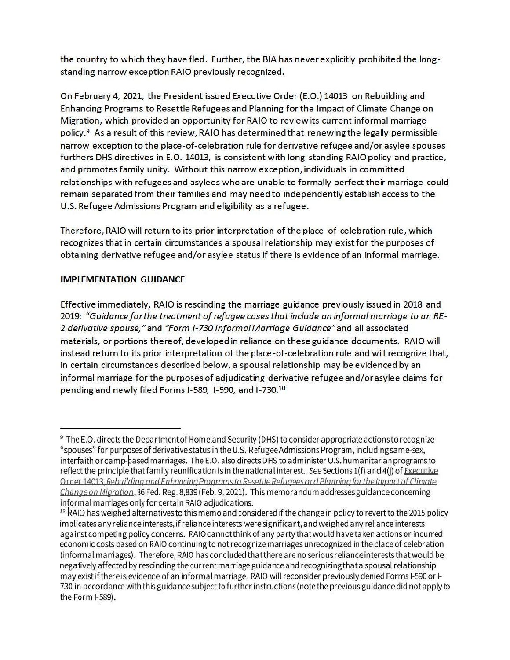the country to which they have fled. Further, the BIA has neverexplicitly prohibited the longstanding narrow exception RAIO previously recognized .

On February 4, 2021, the President issued Executive Order (E.O.) 14013 on Rebuilding and Enhancing Programs to Resettle Refugees and Planning for the Impact of Climate Change on Migration, which provided an opportunity for RAIO to review its current informal marriage policy.<sup>9</sup> As a result of this review, RAIO has determined that renewing the legally permissible narrow exception to the place-of-celebration rule for derivative refugee and/or asylee spouses furthers OHS directives in E.O. 14013, is consistent with long-standing RAIO policy and practice, and promotes family unity. Without this narrow exception, individuals in committed relationships with refugees and asylees who are unable to formally perfect their marriage could remain separated from their families and may need to independently establish access to the U.S. Refugee Admissions Program and eligibility as a refugee.

Therefore, RAIO will return to its prior interpretation of the place-of-celebration rule, which recognizes that in certain circumstances a spousal relationship may exist for the purposes of obtaining derivative refugee and/or asylee status if there is evidence of an informal marriage.

## **IMPLEMENTATION GUIDANCE**

**Effective immediately, RAIO is rescinding the marriage guidance previously issued in 2018 and**  2019: "Guidance for the treatment of refugee cases that include an informal marriage to an RE-*2 derivative spouse,"and "Form /-730 Informal Marriage Guidance"and* **all associated**  materials, or portions thereof, developed in reliance on these guidance documents. RAIO will **instead return to its prior interpretation of the place-of-celebration rule and will recognize that, in certain circumstances described below, a spousal relationship may be evidenced by an informal marriage for the purposes of adjudicating derivative refugee and/orasylee claims for pending and newly filed Forms 1-589, 1-590, and [1-730.10](https://1-730.10)** 

<sup>&</sup>lt;sup>9</sup> The E.O. directs the Departmentof Homeland Security (DHS) to consider appropriate actions to recognize "spouses" for purposes of derivative status in the U.S. Refugee Admissions Program, includingsame-tex, interfaith orcamp-pased marriages. The E.O. also directs OHS to administer U.S. humanitarian programs to reflect the principle that family reunification is in the national interest. See Sections 1(f) and 4(i) of **Executive** Order 14013, Febuilding and Enhancing Programs to Resettle Refugees and Planning for the Impact of Climate Change on Migration, 36 Fed. Reg. 8,839 (Feb. 9, 2021). This memorandum addresses guidance concerning informal marriages only for certain RAIO adjudications.

<sup>&</sup>lt;sup>10</sup> RAIO has weighed alternatives to this memo and considered if the change in policy to revert to the 2015 policy implicates any reliance interests, if reliance interests were significant, and weighed any reliance interests against competing policy concerns. RAIOcannotthinkof any party that would have taken actions or incurred economic costs based on RAIO continuing to not recognize marriages unrecognized in the place of celebration (informal marriages). Therefore, RAIO has concluded thatthereare no seriousrelianceintereststhat would be negatively affected by rescinding the current marriage guidance and recognizing that a spousal relationship may exist if there is evidence of an informal marriage. RAIO will reconsider previously denied Forms I-590 or I-730 in accordance with this guidance subject to further instructions (note the previous guidance did not apply to the Form  $I-589$ ).